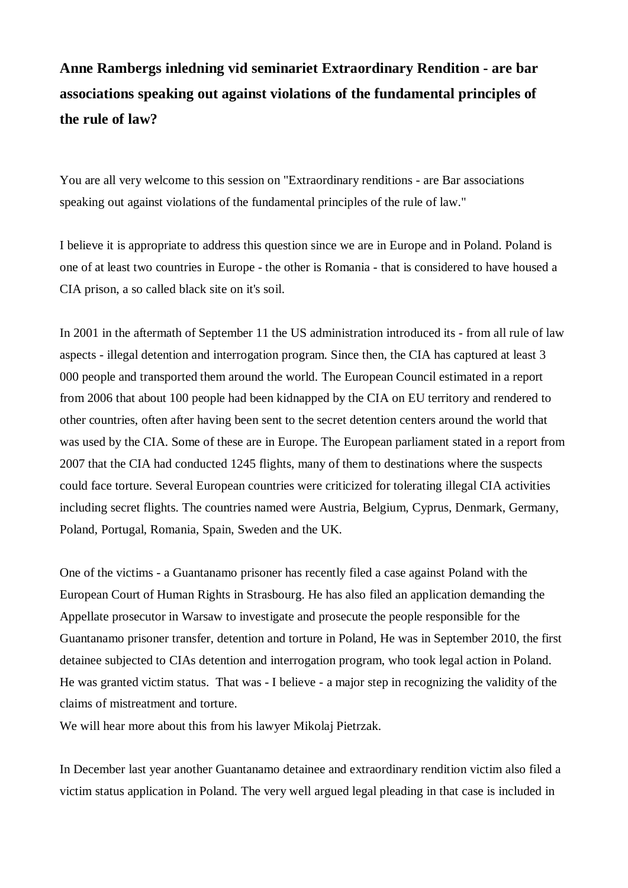## **Anne Rambergs inledning vid seminariet Extraordinary Rendition - are bar associations speaking out against violations of the fundamental principles of the rule of law?**

You are all very welcome to this session on "Extraordinary renditions - are Bar associations speaking out against violations of the fundamental principles of the rule of law."

I believe it is appropriate to address this question since we are in Europe and in Poland. Poland is one of at least two countries in Europe - the other is Romania - that is considered to have housed a CIA prison, a so called black site on it's soil.

In 2001 in the aftermath of September 11 the US administration introduced its - from all rule of law aspects - illegal detention and interrogation program. Since then, the CIA has captured at least 3 000 people and transported them around the world. The European Council estimated in a report from 2006 that about 100 people had been kidnapped by the CIA on EU territory and rendered to other countries, often after having been sent to the secret detention centers around the world that was used by the CIA. Some of these are in Europe. The European parliament stated in a report from 2007 that the CIA had conducted 1245 flights, many of them to destinations where the suspects could face torture. Several European countries were criticized for tolerating illegal CIA activities including secret flights. The countries named were Austria, Belgium, Cyprus, Denmark, Germany, Poland, Portugal, Romania, Spain, Sweden and the UK.

One of the victims - a Guantanamo prisoner has recently filed a case against Poland with the European Court of Human Rights in Strasbourg. He has also filed an application demanding the Appellate prosecutor in Warsaw to investigate and prosecute the people responsible for the Guantanamo prisoner transfer, detention and torture in Poland, He was in September 2010, the first detainee subjected to CIAs detention and interrogation program, who took legal action in Poland. He was granted victim status. That was - I believe - a major step in recognizing the validity of the claims of mistreatment and torture.

We will hear more about this from his lawyer Mikolaj Pietrzak.

In December last year another Guantanamo detainee and extraordinary rendition victim also filed a victim status application in Poland. The very well argued legal pleading in that case is included in